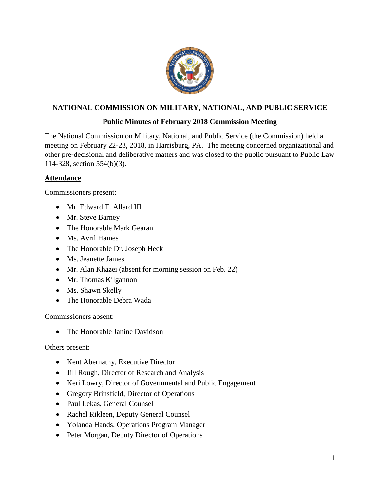

## **NATIONAL COMMISSION ON MILITARY, NATIONAL, AND PUBLIC SERVICE**

#### **Public Minutes of February 2018 Commission Meeting**

The National Commission on Military, National, and Public Service (the Commission) held a meeting on February 22-23, 2018, in Harrisburg, PA. The meeting concerned organizational and other pre-decisional and deliberative matters and was closed to the public pursuant to Public Law 114-328, section 554(b)(3).

#### **Attendance**

Commissioners present:

- Mr. Edward T. Allard III
- Mr. Steve Barney
- The Honorable Mark Gearan
- Ms. Avril Haines
- The Honorable Dr. Joseph Heck
- Ms. Jeanette James
- Mr. Alan Khazei (absent for morning session on Feb. 22)
- Mr. Thomas Kilgannon
- Ms. Shawn Skelly
- The Honorable Debra Wada

Commissioners absent:

• The Honorable Janine Davidson

Others present:

- Kent Abernathy, Executive Director
- Jill Rough, Director of Research and Analysis
- Keri Lowry, Director of Governmental and Public Engagement
- Gregory Brinsfield, Director of Operations
- Paul Lekas, General Counsel
- Rachel Rikleen, Deputy General Counsel
- Yolanda Hands, Operations Program Manager
- Peter Morgan, Deputy Director of Operations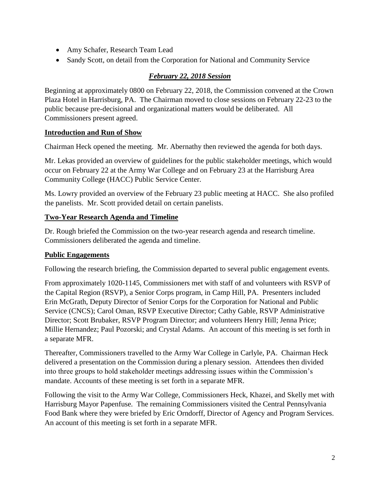- Amy Schafer, Research Team Lead
- Sandy Scott, on detail from the Corporation for National and Community Service

# *February 22, 2018 Session*

Beginning at approximately 0800 on February 22, 2018, the Commission convened at the Crown Plaza Hotel in Harrisburg, PA. The Chairman moved to close sessions on February 22-23 to the public because pre-decisional and organizational matters would be deliberated. All Commissioners present agreed.

#### **Introduction and Run of Show**

Chairman Heck opened the meeting. Mr. Abernathy then reviewed the agenda for both days.

Mr. Lekas provided an overview of guidelines for the public stakeholder meetings, which would occur on February 22 at the Army War College and on February 23 at the Harrisburg Area Community College (HACC) Public Service Center.

Ms. Lowry provided an overview of the February 23 public meeting at HACC. She also profiled the panelists. Mr. Scott provided detail on certain panelists.

## **Two-Year Research Agenda and Timeline**

Dr. Rough briefed the Commission on the two-year research agenda and research timeline. Commissioners deliberated the agenda and timeline.

## **Public Engagements**

Following the research briefing, the Commission departed to several public engagement events.

From approximately 1020-1145, Commissioners met with staff of and volunteers with RSVP of the Capital Region (RSVP), a Senior Corps program, in Camp Hill, PA. Presenters included Erin McGrath, Deputy Director of Senior Corps for the Corporation for National and Public Service (CNCS); Carol Oman, RSVP Executive Director; Cathy Gable, RSVP Administrative Director; Scott Brubaker, RSVP Program Director; and volunteers Henry Hill; Jenna Price; Millie Hernandez; Paul Pozorski; and Crystal Adams. An account of this meeting is set forth in a separate MFR.

Thereafter, Commissioners travelled to the Army War College in Carlyle, PA. Chairman Heck delivered a presentation on the Commission during a plenary session. Attendees then divided into three groups to hold stakeholder meetings addressing issues within the Commission's mandate. Accounts of these meeting is set forth in a separate MFR.

Following the visit to the Army War College, Commissioners Heck, Khazei, and Skelly met with Harrisburg Mayor Papenfuse. The remaining Commissioners visited the Central Pennsylvania Food Bank where they were briefed by Eric Orndorff, Director of Agency and Program Services. An account of this meeting is set forth in a separate MFR.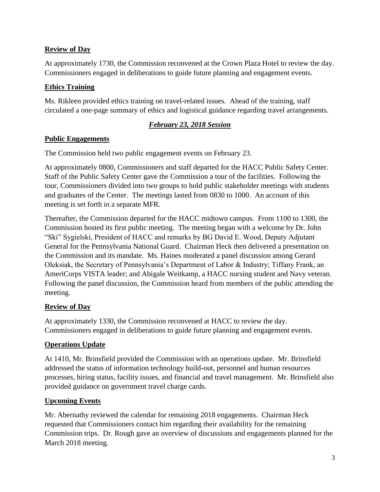# **Review of Day**

At approximately 1730, the Commission reconvened at the Crown Plaza Hotel to review the day. Commissioners engaged in deliberations to guide future planning and engagement events.

## **Ethics Training**

Ms. Rikleen provided ethics training on travel-related issues. Ahead of the training, staff circulated a one-page summary of ethics and logistical guidance regarding travel arrangements.

## *February 23, 2018 Session*

#### **Public Engagements**

The Commission held two public engagement events on February 23.

At approximately 0800, Commissioners and staff departed for the HACC Public Safety Center. Staff of the Public Safety Center gave the Commission a tour of the facilities. Following the tour, Commissioners divided into two groups to hold public stakeholder meetings with students and graduates of the Center. The meetings lasted from 0830 to 1000. An account of this meeting is set forth in a separate MFR.

Thereafter, the Commission departed for the HACC midtown campus. From 1100 to 1300, the Commission hosted its first public meeting. The meeting began with a welcome by Dr. John "Ski" Sygielski, President of HACC and remarks by BG David E. Wood, Deputy Adjutant General for the Pennsylvania National Guard. Chairman Heck then delivered a presentation on the Commission and its mandate. Ms. Haines moderated a panel discussion among Gerard Oleksiak, the Secretary of Pennsylvania's Department of Labor & Industry; Tiffany Frank, an AmeriCorps VISTA leader; and Abigale Weitkamp, a HACC nursing student and Navy veteran. Following the panel discussion, the Commission heard from members of the public attending the meeting.

## **Review of Day**

At approximately 1330, the Commission reconvened at HACC to review the day. Commissioners engaged in deliberations to guide future planning and engagement events.

## **Operations Update**

At 1410, Mr. Brinsfield provided the Commission with an operations update. Mr. Brinsfield addressed the status of information technology build-out, personnel and human resources processes, hiring status, facility issues, and financial and travel management. Mr. Brinsfield also provided guidance on government travel charge cards.

## **Upcoming Events**

Mr. Abernathy reviewed the calendar for remaining 2018 engagements. Chairman Heck requested that Commissioners contact him regarding their availability for the remaining Commission trips. Dr. Rough gave an overview of discussions and engagements planned for the March 2018 meeting.